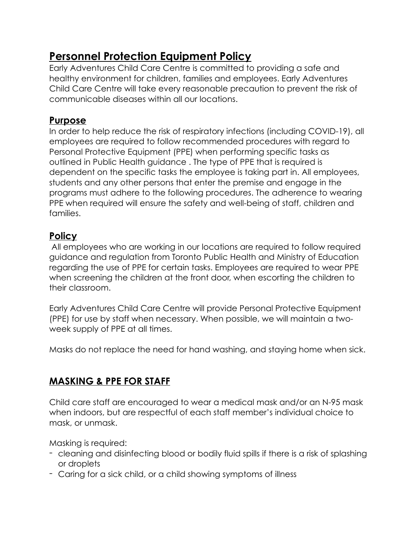# **Personnel Protection Equipment Policy**

Early Adventures Child Care Centre is committed to providing a safe and healthy environment for children, families and employees. Early Adventures Child Care Centre will take every reasonable precaution to prevent the risk of communicable diseases within all our locations.

### **Purpose**

In order to help reduce the risk of respiratory infections (including COVID-19), all employees are required to follow recommended procedures with regard to Personal Protective Equipment (PPE) when performing specific tasks as outlined in Public Health guidance . The type of PPE that is required is dependent on the specific tasks the employee is taking part in. All employees, students and any other persons that enter the premise and engage in the programs must adhere to the following procedures. The adherence to wearing PPE when required will ensure the safety and well-being of staff, children and families.

### **Policy**

All employees who are working in our locations are required to follow required guidance and regulation from Toronto Public Health and Ministry of Education regarding the use of PPE for certain tasks. Employees are required to wear PPE when screening the children at the front door, when escorting the children to their classroom.

Early Adventures Child Care Centre will provide Personal Protective Equipment (PPE) for use by staff when necessary. When possible, we will maintain a twoweek supply of PPE at all times.

Masks do not replace the need for hand washing, and staying home when sick.

## **MASKING & PPE FOR STAFF**

Child care staff are encouraged to wear a medical mask and/or an N-95 mask when indoors, but are respectful of each staff member's individual choice to mask, or unmask.

Masking is required:

- cleaning and disinfecting blood or bodily fluid spills if there is a risk of splashing or droplets
- Caring for a sick child, or a child showing symptoms of illness